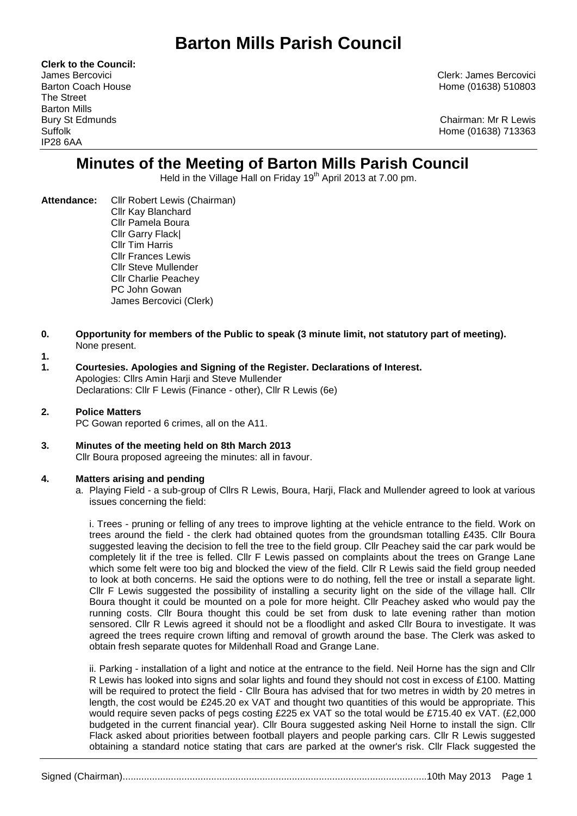# **Barton Mills Parish Council**

**Clerk to the Council:** The Street Barton Mills IP28 6AA

James Bercovici Clerk: James Bercovici Barton Coach House **Home (01638)** 510803

Bury St Edmunds Chairman: Mr R Lewis Suffolk Home (01638) 713363

# **Minutes of the Meeting of Barton Mills Parish Council**

Held in the Village Hall on Friday 19<sup>th</sup> April 2013 at 7.00 pm.

- **Attendance:** Cllr Robert Lewis (Chairman) Cllr Kay Blanchard Cllr Pamela Boura Cllr Garry Flack| Cllr Tim Harris Cllr Frances Lewis Cllr Steve Mullender Cllr Charlie Peachey PC John Gowan James Bercovici (Clerk)
- **0. Opportunity for members of the Public to speak (3 minute limit, not statutory part of meeting).**  None present.
- **1.**
- **1. Courtesies. Apologies and Signing of the Register. Declarations of Interest.** Apologies: Cllrs Amin Harji and Steve Mullender Declarations: Cllr F Lewis (Finance - other), Cllr R Lewis (6e)
- **2. Police Matters** PC Gowan reported 6 crimes, all on the A11.
- **3. Minutes of the meeting held on 8th March 2013** Cllr Boura proposed agreeing the minutes: all in favour.

## **4. Matters arising and pending**

a. Playing Field - a sub-group of Cllrs R Lewis, Boura, Harji, Flack and Mullender agreed to look at various issues concerning the field:

i. Trees - pruning or felling of any trees to improve lighting at the vehicle entrance to the field. Work on trees around the field - the clerk had obtained quotes from the groundsman totalling £435. Cllr Boura suggested leaving the decision to fell the tree to the field group. Cllr Peachey said the car park would be completely lit if the tree is felled. Cllr F Lewis passed on complaints about the trees on Grange Lane which some felt were too big and blocked the view of the field. Cllr R Lewis said the field group needed to look at both concerns. He said the options were to do nothing, fell the tree or install a separate light. Cllr F Lewis suggested the possibility of installing a security light on the side of the village hall. Cllr Boura thought it could be mounted on a pole for more height. Cllr Peachey asked who would pay the running costs. Cllr Boura thought this could be set from dusk to late evening rather than motion sensored. Cllr R Lewis agreed it should not be a floodlight and asked Cllr Boura to investigate. It was agreed the trees require crown lifting and removal of growth around the base. The Clerk was asked to obtain fresh separate quotes for Mildenhall Road and Grange Lane.

ii. Parking - installation of a light and notice at the entrance to the field. Neil Horne has the sign and Cllr R Lewis has looked into signs and solar lights and found they should not cost in excess of £100. Matting will be required to protect the field - Cllr Boura has advised that for two metres in width by 20 metres in length, the cost would be £245.20 ex VAT and thought two quantities of this would be appropriate. This would require seven packs of pegs costing £225 ex VAT so the total would be £715.40 ex VAT. (£2,000 budgeted in the current financial year). Cllr Boura suggested asking Neil Horne to install the sign. Cllr Flack asked about priorities between football players and people parking cars. Cllr R Lewis suggested obtaining a standard notice stating that cars are parked at the owner's risk. Cllr Flack suggested the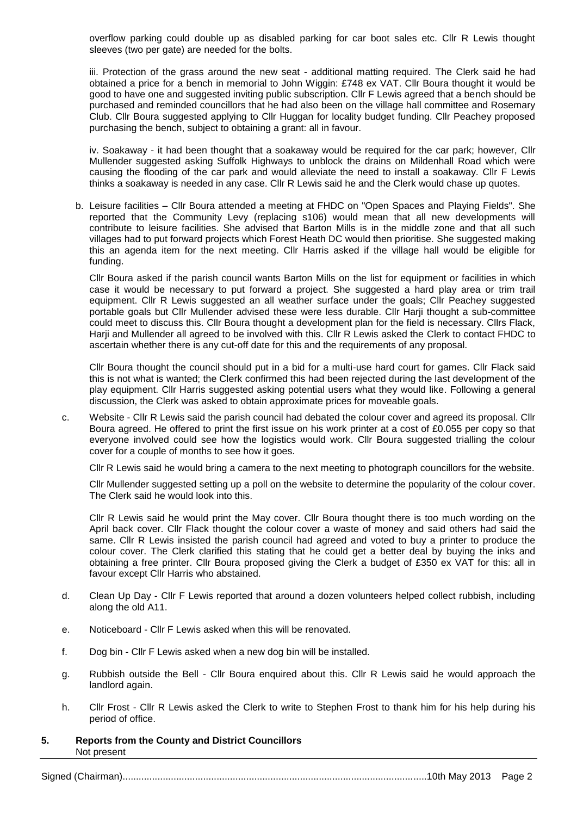overflow parking could double up as disabled parking for car boot sales etc. Cllr R Lewis thought sleeves (two per gate) are needed for the bolts.

iii. Protection of the grass around the new seat - additional matting required. The Clerk said he had obtained a price for a bench in memorial to John Wiggin: £748 ex VAT. Cllr Boura thought it would be good to have one and suggested inviting public subscription. Cllr F Lewis agreed that a bench should be purchased and reminded councillors that he had also been on the village hall committee and Rosemary Club. Cllr Boura suggested applying to Cllr Huggan for locality budget funding. Cllr Peachey proposed purchasing the bench, subject to obtaining a grant: all in favour.

iv. Soakaway - it had been thought that a soakaway would be required for the car park; however, Cllr Mullender suggested asking Suffolk Highways to unblock the drains on Mildenhall Road which were causing the flooding of the car park and would alleviate the need to install a soakaway. Cllr F Lewis thinks a soakaway is needed in any case. Cllr R Lewis said he and the Clerk would chase up quotes.

b. Leisure facilities – Cllr Boura attended a meeting at FHDC on "Open Spaces and Playing Fields". She reported that the Community Levy (replacing s106) would mean that all new developments will contribute to leisure facilities. She advised that Barton Mills is in the middle zone and that all such villages had to put forward projects which Forest Heath DC would then prioritise. She suggested making this an agenda item for the next meeting. Cllr Harris asked if the village hall would be eligible for funding.

Cllr Boura asked if the parish council wants Barton Mills on the list for equipment or facilities in which case it would be necessary to put forward a project. She suggested a hard play area or trim trail equipment. Cllr R Lewis suggested an all weather surface under the goals; Cllr Peachey suggested portable goals but Cllr Mullender advised these were less durable. Cllr Harji thought a sub-committee could meet to discuss this. Cllr Boura thought a development plan for the field is necessary. Cllrs Flack, Harji and Mullender all agreed to be involved with this. Cllr R Lewis asked the Clerk to contact FHDC to ascertain whether there is any cut-off date for this and the requirements of any proposal.

Cllr Boura thought the council should put in a bid for a multi-use hard court for games. Cllr Flack said this is not what is wanted; the Clerk confirmed this had been rejected during the last development of the play equipment. Cllr Harris suggested asking potential users what they would like. Following a general discussion, the Clerk was asked to obtain approximate prices for moveable goals.

c. Website - Cllr R Lewis said the parish council had debated the colour cover and agreed its proposal. Cllr Boura agreed. He offered to print the first issue on his work printer at a cost of £0.055 per copy so that everyone involved could see how the logistics would work. Cllr Boura suggested trialling the colour cover for a couple of months to see how it goes.

Cllr R Lewis said he would bring a camera to the next meeting to photograph councillors for the website.

Cllr Mullender suggested setting up a poll on the website to determine the popularity of the colour cover. The Clerk said he would look into this.

Cllr R Lewis said he would print the May cover. Cllr Boura thought there is too much wording on the April back cover. Cllr Flack thought the colour cover a waste of money and said others had said the same. Cllr R Lewis insisted the parish council had agreed and voted to buy a printer to produce the colour cover. The Clerk clarified this stating that he could get a better deal by buying the inks and obtaining a free printer. Cllr Boura proposed giving the Clerk a budget of £350 ex VAT for this: all in favour except Cllr Harris who abstained.

- d. Clean Up Day Cllr F Lewis reported that around a dozen volunteers helped collect rubbish, including along the old A11.
- e. Noticeboard Cllr F Lewis asked when this will be renovated.
- f. Dog bin Cllr F Lewis asked when a new dog bin will be installed.
- g. Rubbish outside the Bell Cllr Boura enquired about this. Cllr R Lewis said he would approach the landlord again.
- h. Cllr Frost Cllr R Lewis asked the Clerk to write to Stephen Frost to thank him for his help during his period of office.
- **5. Reports from the County and District Councillors** Not present